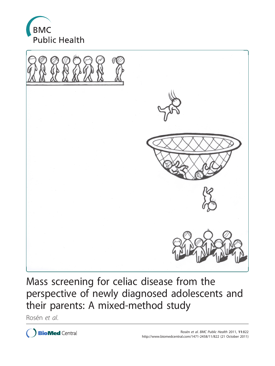



Mass screening for celiac disease from the perspective of newly diagnosed adolescents and their parents: A mixed-method study

Rosén et al.

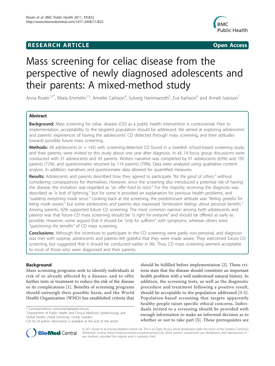## **RESEARCH ARTICLE Example 2014 CONSUMING ACCESS**



# Mass screening for celiac disease from the perspective of newly diagnosed adolescents and their parents: A mixed-method study

Anna Rosén<sup>1,2\*</sup>, Maria Emmelin<sup>1,3</sup>, Annelie Carlsson<sup>4</sup>, Solveig Hammarroth<sup>5</sup>, Eva Karlsson<sup>6</sup> and Anneli Ivarsson<sup>1</sup>

## Abstract

Background: Mass screening for celiac disease (CD) as a public health intervention is controversial. Prior to implementation, acceptability to the targeted population should be addressed. We aimed at exploring adolescents' and parents' experiences of having the adolescents' CD detected through mass screening, and their attitudes towards possible future mass screening.

**Methods:** All adolescents ( $n = 145$ ) with screening-detected CD found in a Swedish school-based screening study, and their parents, were invited to this study about one year after diagnosis. In all, 14 focus group discussions were conducted with 31 adolescents and 43 parents. Written narrative was completed by 91 adolescents (63%) and 105 parents (72%), and questionnaires returned by 114 parents (79%). Data were analyzed using qualitative content analysis. In addition, narratives and questionnaire data allowed for quantified measures.

Results: Adolescents and parents described how they agreed to participate "for the good of others," without considering consequences for themselves. However, since the screening also introduced a potential risk of having the disease, the invitation was regarded as "an offer hard to resist." For the majority, receiving the diagnosis was described as "a bolt of lightning," but for some it provided an explanation for previous health problems, and "suddenly everything made sense." Looking back at the screening, the predominant attitude was "feeling grateful for being made aware," but some adolescents and parents also expressed "ambivalent feelings about personal benefits." Among parents, 92% supported future CD screening. The most common opinion among both adolescents and parents was that future CD mass screening should be "a right for everyone" and should be offered as early as possible. However, some argued that it should be "only for sufferers" with symptoms, whereas others were "questioning the benefits" of CD mass screening.

**Conclusions:** Although the incentives to participate in the CD screening were partly non-personal, and diagnosis was met with surprise, adolescents and parents felt grateful that they were made aware. They welcomed future CD screening, but suggested that it should be conducted earlier in life. Thus, CD mass screening seemed acceptable to most of those who were diagnosed and their parents.

## Background

Mass screening programs seek to identify individuals at risk of or already affected by a disease, and to offer further tests or treatment to reduce the risk of the disease or its complications [[1\]](#page-11-0). Benefits of screening programs should outweigh their possible harm, and the World Health Organization (WHO) has established criteria that

<sup>1</sup>Department of Public Health and Clinical Medicine, Epidemiology and Global Health, Umeå University, Umeå, Sweden

should be fulfilled before implementation [\[2](#page-11-0)]. These criteria state that the disease should constitute an important health problem with a well understood natural history. In addition, the screening tests, as well as the diagnostic procedure and treatment following a positive result, should be acceptable to the population addressed [\[3](#page-11-0)-[5](#page-11-0)]. Population-based screening that targets apparently healthy people raises specific ethical concerns. Individuals invited to a screening should be provided with enough information to make an informed decision as to whether or not to take part [[5\]](#page-11-0). These prerequisites are



© 2011 Rosén et al; licensee BioMed Central Ltd. This is an Open Access article distributed under the terms of the Creative Commons Attribution License [\(http://creativecommons.org/licenses/by/2.0](http://creativecommons.org/licenses/by/2.0)), which permits unrestricted use, distribution, and reproduction in any medium, provided the original work is properly cited.

<sup>\*</sup> Correspondence: [anna.rosen@epiph.umu.se](mailto:anna.rosen@epiph.umu.se)

Full list of author information is available at the end of the article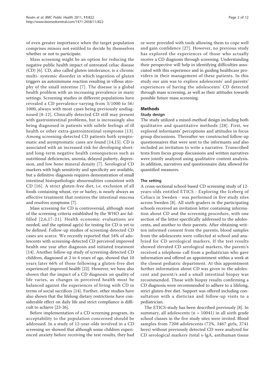of even greater importance when the target population comprises minors not entitled to decide by themselves whether or not to participate.

Mass screening might be an option for reducing the negative public health impact of untreated celiac disease (CD) [\[6](#page-11-0)]. CD, also called gluten intolerance, is a chronic multi- systemic disorder in which ingestion of gluten triggers an autoimmune reaction resulting in villous atrophy of the small intestine [[7\]](#page-12-0). The disease is a global health problem with an increasing prevalence in many settings. Screening studies in different populations have revealed a CD prevalence varying from 3/1000 to 56/ 1000, always with most cases being previously undiagnosed [[8-12](#page-12-0)]. Clinically detected CD still may present with gastrointestinal problems, but is increasingly also being diagnosed in patients with subtle feelings of ill health or other extra-gastrointestinal symptoms [[13\]](#page-12-0). Among screening-detected CD patients both symptomatic and asymptomatic cases are found [[14,15](#page-12-0)]. CD is associated with an increased risk for developing shortand long-term negative health consequences such as nutritional deficiencies, anemia, delayed puberty, depression, and low bone mineral density [[7](#page-12-0)]. Serological CD markers with high sensitivity and specificity are available, but a definitive diagnosis requires demonstration of small intestinal histopathologic abnormalities consistent with CD [[16](#page-12-0)]. A strict gluten-free diet, i.e. exclusion of all foods containing wheat, rye or barley, is nearly always an effective treatment that restores the intestinal mucosa and resolves symptoms [[7\]](#page-12-0).

Mass screening for CD is controversial, although most of the screening criteria established by the WHO are fulfilled [[2](#page-11-0),[6](#page-11-0),[17](#page-12-0)-[21](#page-12-0)]. Health economic evaluations are needed, and the optimal age(s) for testing for CD is yet to be defined. Follow-up studies of screening-detected CD cases are scarce. We recently reported that 54% of adolescents with screening-detected CD perceived improved health one year after diagnosis and initiated treatment [[14\]](#page-12-0). Another follow-up study of screening-detected CD children, diagnosed at 2 to 4 years of age, showed that 10 years later 66% of those following a gluten-free diet experienced improved health [\[22](#page-12-0)]. However, we have also shown that the impact of a CD diagnosis on quality of life varies, as changes in perceived health must be balanced against the experiences of living with CD in terms of social sacrifices [\[14](#page-12-0)]. Further, other studies have also shown that the lifelong dietary restrictions have considerable effect on daily life and strict compliance is difficult to achieve [\[23](#page-12-0)-[26\]](#page-12-0).

Before implementation of a CD screening program, its acceptability to the population concerned should be addressed. In a study of 12-year-olds involved in a CD screening we showed that although some children experienced anxiety before receiving the test results, they had or were provided with tools allowing them to cope well and gain confidence [\[27\]](#page-12-0). However, no previous study has explored the experiences of those who actually receive a CD diagnosis through screening. Understanding their perspective will help in identifying difficulties associated with this experience and in guiding healthcare providers in their management of these patients. In this study our aim was to explore adolescents' and parents' experiences of having the adolescents' CD detected through mass screening, as well as their attitudes towards possible future mass screening.

## Methods

#### Study design

The study utilized a mixed-method design including both qualitative and quantitative methods [[28\]](#page-12-0). First, we explored informants' perceptions and attitudes in focus group discussions. Thereafter we constructed follow-up questionnaires that were sent to the informants and also included an invitation to write a narrative. Transcribed texts from focus group discussions and written narratives were jointly analyzed using qualitative content analysis. In addition, narratives and questionnaire data allowed for quantified measures.

## The setting

A cross-sectional school-based CD screening study of 12 years-olds entitled ETICS - Exploring the Iceberg of Celiacs in Sweden - was performed in five study sites across Sweden [[8\]](#page-12-0). All sixth-graders in the participating schools received an invitation letter containing information about CD and the screening procedure, with one section of the letter specifically addressed to the adolescents, and another to their parents. After obtaining written informed consent from the parents, blood samples from the adolescents were collected at school and analyzed for CD serological markers. If the test results showed elevated CD serological markers, the parent/s received a telephone call from a pediatrician who gave information and offered an appointment within a week at the closest pediatric department. At this appointment further information about CD was given to the adolescent and parent/s and a small intestinal biopsy was recommended. Those with biopsy results confirming a CD diagnosis were recommended to adhere to a lifelong, strict gluten-free diet. Support was offered including consultation with a dietician and follow-up visits to a pediatrician.

The ETICS-study has been described previously [[8\]](#page-12-0). In summary, all adolescents ( $n = 10041$ ) in all sixth grade school classes in the five study sites were invited. Blood samples from 7208 adolescents (72%, 3467 girls, 3741 boys) without previously detected CD were analyzed for CD serological markers (total s-IgA, antihuman tissue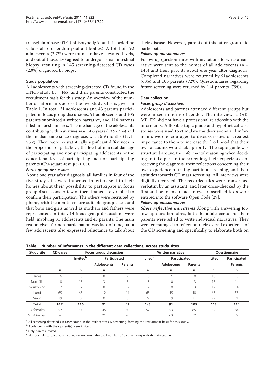transglutaminase (tTG) of isotype IgA, and if borderline values also for endomysial antibodies). A total of 192 adolescents (2.7%) were found to have elevated levels, and out of those, 180 agreed to undergo a small intestinal biopsy, resulting in 145 screening-detected CD cases (2.0%) diagnosed by biopsy.

#### Study population

All adolescents with screening-detected CD found in the ETICS study ( $n = 145$ ) and their parents constituted the recruitment basis for this study. An overview of the number of informants across the five study sites is given in Table 1. In total, 31 adolescents and 43 parents participated in focus group discussions, 91 adolescents and 105 parents submitted a written narrative, and 114 parents filled in questionnaires. The median age of the adolescents contributing with narratives was 14.6 years (13.9-15.4) and the median time since diagnosis was 15.9 months (11.1- 23.2). There were no statistically significant differences in the proportion of girls/boys, the level of mucosal damage of participating and non-participating adolescents or the educational level of participating and non-participating parents (Chi-square-test,  $p > 0.05$ ).

## Focus group discussions

About one year after diagnosis, all families in four of the five study sites were informed in letters sent to their homes about their possibility to participate in focus group discussions. A few of them immediately replied to confirm their participation. The others were recruited by phone, with the aim to ensure suitable group sizes, and that boys and girls as well as mothers and fathers were represented. In total, 14 focus group discussions were held, involving 31 adolescents and 43 parents. The main reason given for non-participation was lack of time, but a few adolescents also expressed reluctance to talk about their disease. However, parents of this latter group did participate.

## Follow-up questionnaires

Follow-up questionnaires with invitations to write a narrative were sent to the homes of all adolescents (n = 145) and their parents about one year after diagnosis. Completed narratives were returned by 91adolescents (63%) and 105 parents (72%). Questionnaires regarding future screening were returned by 114 parents (79%).

#### Data collection

#### Focus group discussions

Adolescents and parents attended different groups but were mixed in terms of gender. The interviewers (AR, ME, EK) did not have a professional relationship with the informants. A flexible topic guide and hypothetical case stories were used to stimulate the discussions and informants were encouraged to discuss issues of greatest importance to them to increase the likelihood that their own accounts would take priority. The topic guide was structured around the informants' reasoning when deciding to take part in the screening, their experiences of receiving the diagnosis, their reflections concerning their own experience of taking part in a screening, and their attitudes towards CD mass screening. All interviews were digitally recorded. The recorded files were transcribed verbatim by an assistant, and later cross-checked by the first author to ensure accuracy. Transcribed texts were entered into the software Open Code [[29](#page-12-0)].

#### Follow-up questionnaires

Short reflective narratives Along with answering follow-up questionnaires, both the adolescents and their parents were asked to write individual narratives. They were encouraged to reflect on their overall experience of the CD screening and specifically to elaborate both on

|  |  |  |  |  |  |  | Table 1 Number of informants in the different data collections, across study sites |  |
|--|--|--|--|--|--|--|------------------------------------------------------------------------------------|--|
|--|--|--|--|--|--|--|------------------------------------------------------------------------------------|--|

| Study site   | CD-cases         |                             | Focus group discussion |                            |                      | <b>Written narrative</b> |                |                             | <b>Ouestionnaire</b> |
|--------------|------------------|-----------------------------|------------------------|----------------------------|----------------------|--------------------------|----------------|-----------------------------|----------------------|
|              |                  | <b>Invited</b> <sup>b</sup> | Participated           |                            | Invited <sup>b</sup> | Participated             |                | <b>Invited</b> <sup>c</sup> | Participated         |
|              |                  |                             | Adolescents            | <b>Parents</b>             |                      | <b>Adolescents</b>       | <b>Parents</b> |                             | <b>Parents</b>       |
|              | n                | n                           | n                      | n                          | n                    | n                        | n              | n                           | n                    |
| Umeå         | 16               | 16                          | 8                      | 9                          | 16                   |                          | 10             | 16                          | 10                   |
| Norrtälje    | 18               | 18                          | 3                      | 8                          | 18                   | 10                       | 13             | 18                          | 14                   |
| Norrköping   | 17               | 17                          | 8                      | 12                         | 17                   | 10                       | 13             | 17                          | 14                   |
| Lund         | 65               | 65                          | 12                     | 14                         | 65                   | 45                       | 48             | 65                          | 55                   |
| Växjö        | 29               | $\mathbf{0}$                | 0                      | 0                          | 29                   | 19                       | 21             | 29                          | 21                   |
| <b>Total</b> | 145 <sup>a</sup> | 116                         | 31                     | 43                         | 145                  | 91                       | 105            | 145                         | 114                  |
| % females    | 52               | 54                          | 45                     | 60                         | 52                   | 53                       | 85             | 52                          | 84                   |
| % of invited |                  |                             | 21                     | $\overline{\phantom{a}}^d$ |                      | 63                       | 72             |                             | 79                   |

a All screening-detected CD cases found in the multicenter CD screening, forming the recruitment basis for this study.

 $<sup>b</sup>$  Adolescents with their parent(s) were invited.</sup>

<sup>c</sup> Only parents invited.

 $<sup>d</sup>$  Not possible to calculate since we do not know the total number of parents living with the adolescents.</sup>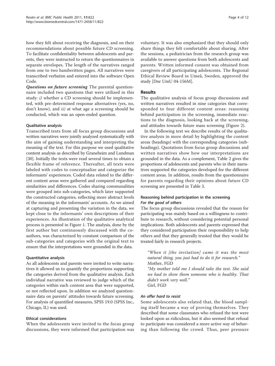how they felt about receiving the diagnosis, and on their recommendations about possible future CD screening. To facilitate confidentiality between adolescents and parents, they were instructed to return the questionnaires in separate envelopes. The length of the narratives ranged from one to two handwritten pages. All narratives were transcribed verbatim and entered into the software Open Code.

Questions on future screening The parental questionnaire included two questions that were utilized in this study: i) whether a CD screening should be implemented, with pre-determined response alternatives (yes, no, don't know), and ii) at what age a screening should be conducted, which was an open-ended question.

## Qualitative analysis

Transcribed texts from all focus group discussions and written narratives were jointly analyzed systematically with the aim of gaining understanding and interpreting the meaning of the text. For this purpose we used qualitative content analysis as described by Graneheim and Lundman [[30\]](#page-12-0). Initially the texts were read several times to obtain a flexible frame of reference. Thereafter, all texts were labeled with codes to conceptualize and categorize the informants' experiences. Coded data related to the different content areas were gathered and compared regarding similarities and differences. Codes sharing communalities were grouped into sub-categories, which later supported the constructed categories, reflecting more abstract levels of the meaning in the informants' accounts. As we aimed at capturing and presenting the variation in the data, we kept close to the informants' own descriptions of their experiences. An illustration of the qualitative analytical process is presented in Figure [1.](#page-5-0) The analysis, done by the first author but continuously discussed with the coauthors, was characterized by constant comparison of the sub-categories and categories with the original text to ensure that the interpretations were grounded in the data.

## Quantitative analysis

As all adolescents and parents were invited to write narratives it allowed us to quantify the proportions supporting the categories derived from the qualitative analysis. Each individual narrative was reviewed to judge which of the categories within each content area that were supported, or not reflected upon. In addition we analyzed questionnaire data on parents' attitudes towards future screening. For analysis of quantified measures, SPSS 19.0 (SPSS Inc., Chicago, IL) was used.

## Ethical considerations

When the adolescents were invited to the focus group discussions, they were informed that participation was voluntary. It was also emphasized that they should only share things they felt comfortable about sharing. After the sessions, a pediatrician from the research group was available to answer questions from both adolescents and parents. Written informed consent was obtained from caregivers of all participating adolescents. The Regional Ethical Review Board in Umeå, Sweden, approved the study [Dnr UmU 04-156M].

## **Results**

The qualitative analysis of focus group discussions and written narratives resulted in nine categories that corresponded to four different content areas: reasoning behind participation in the screening, immediate reactions to the diagnosis, looking back at the screening, and attitudes towards future mass screening (Figure [2](#page-6-0)).

In the following text we describe results of the qualitative analysis in more detail by highlighting the content areas (headings) with the corresponding categories (subheadings). Quotations from focus group discussions and written narratives show how our interpretations are grounded in the data. As a complement, Table [2](#page-7-0) gives the proportions of adolescents and parents who in their narratives supported the categories developed for the different content areas. In addition, results from the questionnaire for parents regarding their opinions about future CD screening are presented in Table [3.](#page-7-0)

## Reasoning behind participation in the screening For the good of others

The focus group discussions revealed that the reason for participating was mainly based on a willingness to contribute to research, without considering potential personal implications. Both adolescents and parents expressed that they considered participation their responsibility to help others and that they generally trusted that they would be treated fairly in research projects.

"When it [the invitation] came it was the most natural thing, you just had to do it for research." Mother, FGD

"My mother told me I should take the test. She said we had to show them someone who is healthy. That didn't work very well." Girl, FGD

## An offer hard to resist

Some adolescents also related that, the blood sampling itself became a way of proving themselves. They described that some classmates who refused the test were looked upon as ridiculous, but it also seemed that refusal to participate was considered a more active way of behaving than following the crowd. Thus, peer pressure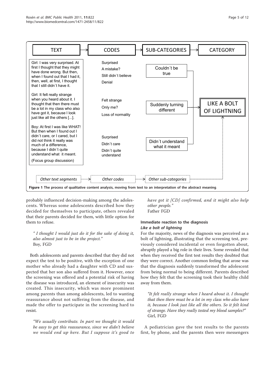<span id="page-5-0"></span>

probably influenced decision-making among the adolescents. Whereas some adolescents described how they decided for themselves to participate, others revealed that their parents decided for them, with little option for them to refuse.

## " I thought I would just do it for the sake of doing it, also almost just to be in the project." Boy, FGD

Both adolescents and parents described that they did not expect the test to be positive, with the exception of one mother who already had a daughter with CD and suspected that her son also suffered from it. However, once the screening was offered and a potential risk of having the disease was introduced, an element of insecurity was created. This insecurity, which was more prominent among parents than among adolescents, led to wanting reassurance about not suffering from the disease, and made the offer to participate in the screening hard to resist.

"We usually contribute. In part we thought it would be easy to get this reassurance, since we didn't believe we would end up here. But I suppose it's good to have got it [CD] confirmed, and it might also help other people." Father FGD

## Immediate reaction to the diagnosis Like a bolt of lightning

For the majority, news of the diagnosis was perceived as a bolt of lightning, illustrating that the screening test, previously considered incidental or even forgotten about, abruptly played a big role in their lives. Some revealed that when they received the first test results they doubted that they were correct. Another common feeling that arose was that the diagnosis suddenly transformed the adolescent from being normal to being different. Parents described how they felt that the screening took their healthy child away from them.

"It felt really strange when I heard about it. I thought that then there must be a lot in my class who also have it, because I look just like all the others. So it felt kind of strange. Have they really tested my blood samples?" Girl, FGD

A pediatrician gave the test results to the parents first, by phone, and the parents then were messengers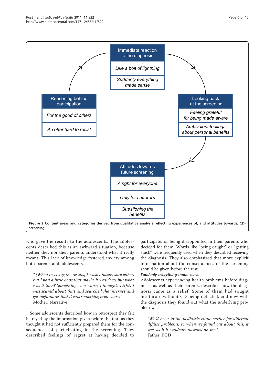<span id="page-6-0"></span>

who gave the results to the adolescents. The adolescents described this as an awkward situation, because neither they nor their parents understood what it really meant. This lack of knowledge fostered anxiety among both parents and adolescents.

" [When receiving the results] I wasn't totally sure either, but I had a little hope that maybe it wasn't so, but what was it then? Something even worse, I thought. THEN I was scared about that and searched the internet and got nightmares that it was something even worse." Mother, Narrative

Some adolescents described how in retrospect they felt betrayed by the information given before the test, as they thought it had not sufficiently prepared them for the consequences of participating in the screening. They described feelings of regret at having decided to

participate, or being disappointed in their parents who decided for them. Words like "being caught" or "getting stuck" were frequently used when they described receiving the diagnosis. They also emphasized that more explicit information about the consequences of the screening should be given before the test.

#### Suddenly everything made sense

Adolescents experiencing health problems before diagnosis, as well as their parents, described how the diagnosis came as a relief. Some of them had sought healthcare without CD being detected, and now with the diagnosis they found out what the underlying problem was.

"We'd been to the pediatric clinic earlier for different diffuse problems, so when we found out about this, it was as if it suddenly dawned on me." Father, FGD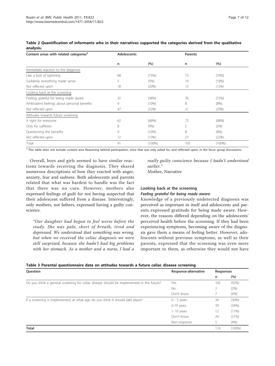| Content areas with related categories <sup>a</sup> | <b>Adolescents</b> |           | <b>Parents</b> |           |
|----------------------------------------------------|--------------------|-----------|----------------|-----------|
|                                                    | n                  | (%)       | n              | (%)       |
| Immediate reaction to the diagnosis                |                    |           |                |           |
| Like a bolt of lightning                           | 68                 | (75%)     | 73             | (70%)     |
| Suddenly everything made sense                     | 5                  | (5%)      | 19             | (18%)     |
| Not reflected upon                                 | 18                 | (20%)     | 13             | (12%)     |
| Looking back at the screening                      |                    |           |                |           |
| Feeling grateful for being made aware              | 35                 | (38%)     | 76             | (72%)     |
| Ambivalent feelings about personal benefits        | 9                  | $(10\%)$  | 8              | (8%)      |
| Not reflected upon                                 | 47                 | (52%)     | 21             | (20%)     |
| Attitudes towards future screening                 |                    |           |                |           |
| A right for everyone                               | 62                 | (68%)     | 72             | (68%)     |
| Only for sufferers                                 | 8                  | (9% )     | 2              | (2%)      |
| Questioning the benefits                           | 9                  | $(10\%)$  | 8              | (8%)      |
| Not reflected upon                                 | 12                 | (13%)     | 23             | (22%)     |
| Total                                              | 91                 | $(100\%)$ | 105            | $(100\%)$ |

<span id="page-7-0"></span>Table 2 Quantification of informants who in their narratives supported the categories derived from the qualitative analysis.

<sup>a</sup> This table does not include content area Reasoning behind participation, since that was only asked for, and reflected upon, in the focus group discussions.

Overall, boys and girls seemed to have similar reactions towards receiving the diagnosis. They shared numerous descriptions of how they reacted with anger, anxiety, fear and sadness. Both adolescents and parents related that what was hardest to handle was the fact that there was no cure. However, mothers also expressed feelings of guilt for not having suspected that their adolescent suffered from a disease. Interestingly, only mothers, not fathers, expressed having a guilty conscience.

"Our daughter had begun to feel worse before the study. She was pale, short of breath, tired and depressed. We understood that something was wrong, but when we received the celiac diagnosis we were still surprised, because she hadn't had big problems with her stomach. As a mother and a nurse, I had a really guilty conscience because I hadn't understood earlier."

Mother, Narrative

## Looking back at the screening Feeling grateful for being made aware

Knowledge of a previously undetected diagnosis was perceived as important in itself and adolescents and parents expressed gratitude for being made aware. However, the reasons differed depending on the adolescents' perceived health before the screening. If they had been experiencing symptoms, becoming aware of the diagnosis gave them a means of feeling better. However, adolescents without previous symptoms, as well as their parents, expressed that the screening was even more important to them, as otherwise they would not have

| Table 3 Parental questionnaire data on attitudes towards a future celiac disease screening |  |  |  |  |  |  |  |
|--------------------------------------------------------------------------------------------|--|--|--|--|--|--|--|
|--------------------------------------------------------------------------------------------|--|--|--|--|--|--|--|

| Question                                                                                 | Response-alternative | Responses |           |
|------------------------------------------------------------------------------------------|----------------------|-----------|-----------|
|                                                                                          |                      | n         | (%)       |
| Do you think a general screening for celiac disease should be implemented in the future? | Yes                  | 105       | (92%)     |
|                                                                                          | No.                  | 2         | (2%)      |
|                                                                                          | Don't know           |           | (6%)      |
| If a screening is implemented, at what age do you think it should take place?            | $0 - 5$ years        | 34        | (30%)     |
|                                                                                          | 6-10 years           | 39        | (34%)     |
|                                                                                          | $> 10$ years         | 12        | $(11\%)$  |
|                                                                                          | Don't know           | 24        | (21%)     |
|                                                                                          | Non-response         | 5         | (4%)      |
| <b>Total</b>                                                                             |                      | 114       | $(100\%)$ |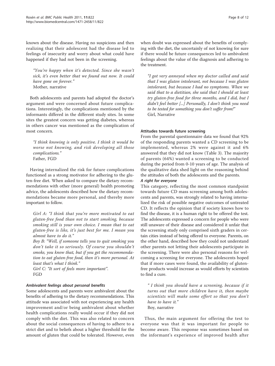known about the disease. Having no suspicions and then realizing that their adolescent had the disease led to feelings of insecurity and worry about what could have happened if they had not been in the screening.

"You're happy when it's detected. Since she wasn't sick, it's even better that we found out now. It could have gone on forever." Mother, narrative

Both adolescents and parents had adopted the doctor's argument and were concerned about future complications. Interestingly, the complications mentioned by the informants differed in the different study sites. In some sites the greatest concern was getting diabetes, whereas in others cancer was mentioned as the complication of most concern.

"I think knowing is only positive. I think it would be worse not knowing, and risk developing all those complications." Father, FGD

Having internalized the risk for future complications functioned as a strong motivator for adhering to the gluten-free diet. When asked to compare the dietary recommendations with other (more general) health promoting advice, the adolescents described how the dietary recommendations became more personal, and thereby more important to follow.

Girl A: "I think that you're more motivated to eat gluten-free food than not to start smoking, because smoking still is your own choice. I mean that to eat gluten-free is like, it's just best for me. I mean you almost have to do it."

Boy B: "Well, if someone tells you to quit smoking you don't take it so seriously. Of course you shouldn't smoke, you know that, but if you get the recommendation to eat gluten-free food, then it's more personal. At least that's what I think."

Girl C: "It sort of feels more important". FGD

## Ambivalent feelings about personal benefits

Some adolescents and parents were ambivalent about the benefits of adhering to the dietary recommendations. This attitude was associated with not experiencing any health improvement and/or being ambivalent about whether health complications really would occur if they did not comply with the diet. This was also related to concern about the social consequences of having to adhere to a strict diet and to beliefs about a higher threshold for the amount of gluten that could be tolerated. However, even

when doubt was expressed about the benefits of complying with the diet, the uncertainly of not knowing for sure if there would be future consequences led to ambivalent feelings about the value of the diagnosis and adhering to the treatment.

"I got very annoyed when my doctor called and said that I was gluten intolerant, not because I was gluten intolerant, but because I had no symptoms. When we said that to a dietitian, she said that I should at least try gluten-free food for three months, and I did, but I didn't feel better [...] Personally, I don't think you need to be tested for something you don't suffer from!" Girl, Narrative

## Attitudes towards future screening

From the parental questionnaire data we found that 92% of the responding parents wanted a CD screening to be implemented, whereas 2% were against it and 6% answered that they did not know (Table [3\)](#page-7-0). The majority of parents (64%) wanted a screening to be conducted during the period from 0-10 years of age. The analysis of the qualitative data shed light on the reasoning behind the attitudes of both the adolescents and the parents.

#### A right for everyone

This category, reflecting the most common standpoint towards future CD mass screening among both adolescents and parents, was strongly related to having internalized the risk of possible negative outcomes of untreated CD. It reflects the opinion that if society knows how to find the disease, it is a human right to be offered the test. The adolescents expressed a concern for people who were still unaware of their disease and considered it unfair that the screening study only comprised sixth graders in certain cities instead of being offered to everyone. Parents, on the other hand, described how they could not understand other parents not letting their adolescents participate in the screening. There were also personal reasons for welcoming a screening for everyone. The adolescents hoped that if more cases were found, the availability of glutenfree products would increase as would efforts by scientists to find a cure.

" I think you should have a screening, because if it turns out that more children have it, then maybe scientists will make some effort so that you don't have to have it." Boy, narrative

Thus, the main argument for offering the test to everyone was that it was important for people to become aware. This response was sometimes based on the informant's experience of improved health after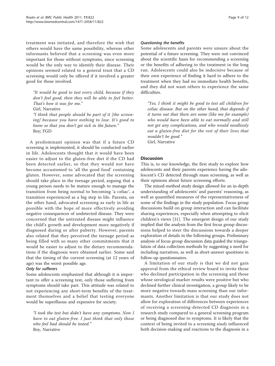treatment was initiated, and therefore the wish that others would have the same possibility, whereas other informants believed that a screening was even more important for those without symptoms, since screening would be the only way to identify their disease. Their opinions seemed related to a general trust that a CD screening would only be offered if it involved a greater good for those involved.

"It would be good to test every child, because if they don't feel good, then they will be able to feel better. That's how it was for me." Girl, Narrative

"I think that people should be part of it [the screening] because you have nothing to lose. It's good to know so that you don't get sick in the future." Boy; FGD

A predominant opinion was that if a future CD screening is implemented, it should be conducted earlier in life. Adolescents thought that it would have been easier to adjust to the gluten-free diet if the CD had been detected earlier, so that they would not have become accustomed to 'all the good food' containing gluten. However, some advocated that the screening should take place in the teenage period, arguing that a young person needs to be mature enough to manage the transition from being normal to becoming 'a celiac', a transition experienced as a big step in life. Parents, on the other hand, advocated screening as early in life as possible with the hope of more effectively avoiding negative consequences of undetected disease. They were concerned that the untreated disease might influence the child's growth and development more negatively if diagnosed during or after puberty. However, parents also related that they perceived the teenage period as being filled with so many other commitments that it would be easier to adjust to the dietary recommendations if the diagnosis were obtained earlier. Some said that the timing of the current screening (at 12 years of age) was the worst possible age.

## Only for sufferers

Some adolescents emphasized that although it is important to offer a screening test, only those suffering from symptoms should take part. This attitude was related to not experiencing any short-term benefits of the treatment themselves and a belief that testing everyone would be superfluous and expensive for society.

"I took the test but didn't have any symptoms. Now I have to eat gluten-free. I just think that only those who feel bad should be tested." Boy, Narrative

#### Questioning the benefits

Some adolescents and parents were unsure about the potential of a future screening. They were not convinced about the scientific basis for recommending a screening or the benefits of adhering to the treatment in the long run. Adolescents could also be indecisive because of their own experience of finding it hard to adhere to the treatment when they had no immediate health benefits, and they did not want others to experience the same difficulties.

"Yes, I think it might be good to test all children for celiac disease. But on the other hand, that depends if it turns out that there are some (like me for example) who would have been able to eat normally and still not get any complications, and who would needlessly eat a gluten-free diet for the rest of their lives that wouldn't be good." Girl, Narrative

**Discussion** 

This is, to our knowledge, the first study to explore how adolescents and their parents experience having the adolescent's CD detected through mass screening, as well as their opinions about future screening efforts.

The mixed-method study design allowed for an in-depth understanding of adolescents' and parents' reasoning, as well as quantified measures of the representativeness of some of the findings in the study population. Focus group discussions build on group interaction and can facilitate sharing experiences, especially when attempting to elicit children's views [\[31](#page-12-0)]. The emergent design of our study implied that the analysis from the first focus group discussions helped to steer the discussions towards a deeper exploration of details in the following groups. Preliminary analysis of focus group discussion data guided the triangulation of data collection methods by suggesting a need for including narratives, as well as short-answer questions in follow-up questionnaires.

A limitation of our study is that we did not gain approval from the ethical review board to invite those who declined participation in the screening and those whose serological marker results were positive but who declined further clinical investigation, a group likely to be more negative towards mass screening than our informants. Another limitation is that our study does not allow for exploration of differences between experiences of receiving a screening-detected CD diagnosis in a research study compared to a general screening program or being diagnosed due to symptoms. It is likely that the context of being invited to a screening study influenced both decision-making and reactions to the diagnosis in a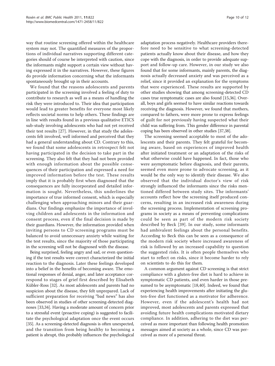way that routine screening offered within the healthcare system may not. The quantified measures of the proportions of individual narratives supporting different categories should of course be interpreted with caution, since the informants might support a certain view without having expressed it in the narratives. However, these figures do provide information concerning what the informants spontaneously brought up in their accounts.

We found that the reasons adolescents and parents participated in the screening involved a feeling of duty to contribute to research as well as a means of handling the risk they were introduced to. Their idea that participation would lead to greater benefits for everyone most likely reflects societal norms to help others. These findings are in line with results found in a previous qualitative ETICS sub-study involving adolescents who had not yet received their test results [[27\]](#page-12-0). However, in that study the adolescents felt involved, well informed and perceived that they had a general understanding about CD. Contrary to this, we found that some adolescents in retrospect felt not having participated in the decision to take part in the screening. They also felt that they had not been provided with enough information about the possible consequences of their participation and expressed a need for improved information before the test. These results imply that it is probably first when diagnosed that the consequences are fully incorporated and detailed information is sought. Nevertheless, this underlines the importance of true informed consent, which is especially challenging when approaching minors and their guardians. Our findings emphasize the importance of involving children and adolescents in the information and consent process, even if the final decision is made by their guardians. However, the information provided when inviting persons to CD screening programs must be balanced to avoid unnecessary anxiety while waiting for the test results, since the majority of those participating in the screening will not be diagnosed with the disease.

Being surprised, feeling angry and sad, or even questioning if the test results were correct characterized the initial reaction to the diagnosis. Later these feelings developed into a belief in the benefits of becoming aware. The emotional responses of denial, anger, and later acceptance correspond to stages of grief first described by Elisabeth Kübler-Ross [\[32\]](#page-12-0). As most adolescents and parents had no suspicion about the disease, they felt unprepared. Lack of sufficient preparation for receiving "bad news" has also been observed in studies of other screening-detected diagnoses [\[33,34\]](#page-12-0). Having a moderate amount of concern prior to a stressful event (proactive coping) is suggested to facilitate the psychological adaptation once the event occurs [[35](#page-12-0)]. As a screening-detected diagnosis is often unexpected, and the transition from being healthy to becoming a patient is abrupt, this probably influences the psychological adaptation process negatively. Healthcare providers therefore need to be sensitive to what screening-detected patients actually know about their disease, and how they cope with the diagnosis, in order to provide adequate support and follow-up care. However, in our study we also found that for some informants, mainly parents, the diagnosis actually decreased anxiety and was perceived as a relief, since it provided an explanation for the symptoms that were experienced. These results are supported by other studies showing that among screening-detected CD cases true symptomatic cases are also found [\[15,36](#page-12-0)]. Overall, boys and girls seemed to have similar reactions towards receiving the diagnosis. However, we found that mothers, compared to fathers, were more prone to express feelings of guilt for not previously having suspected what their child was suffering from. This gender difference in parental coping has been observed in other studies [\[37,38](#page-12-0)].

The screening seemed acceptable to most of the adolescents and their parents. They felt grateful for becoming aware, based on experiences of improved health after initiated treatment or an adaptation of the risks of what otherwise could have happened. In fact, those who were asymptomatic before diagnosis, and their parents, seemed even more prone to advocate screening, as it would be the only way to identify their disease. We also observed that the individual doctor's view of risk strongly influenced the informants since the risks mentioned differed between study sites. The informants' accounts reflect how the screening itself produced concerns, resulting in an increased risk awareness during the screening process. Implementation of screening programs in society as a means of preventing complications could be seen as part of the modern risk society described by Beck [[39\]](#page-12-0). In our study, some informants had ambivalent feelings about the personal benefits. According to Beck this can be seen as a consequence of the modern risk society where increased awareness of risk is followed by an increased capability to question the suggested risks. It is often people themselves who start to reflect on risks, since it become harder to rely on scientists to do this for them.

A common argument against CD screening is that strict compliance with a gluten-free diet is hard to achieve in symptomatic CD patients, and even harder in those presumed to be asymptomatic [[18,40](#page-12-0)]. Indeed, we found that experiencing health improvements after initiating the gluten-free diet functioned as a motivator for adherence. However, even if the adolescent's health had not improved, most adolescents and parents expressed that avoiding future health complications motivated dietary compliance. In addition, adhering to the diet was perceived as more important than following health promotion messages aimed at society as a whole, since CD was perceived as more of a personal threat.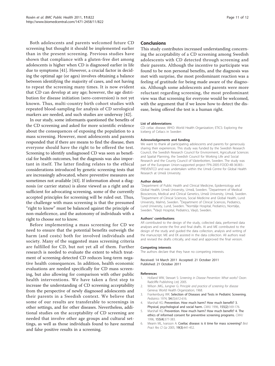<span id="page-11-0"></span>Both adolescents and parents welcomed future CD screening but thought it should be implemented earlier than in the present screening. Previous studies have shown that compliance with a gluten-free diet among adolescents is higher when CD is diagnosed earlier in life due to symptoms [[41](#page-12-0)]. However, a crucial factor in deciding the optimal age (or ages) involves obtaining a balance between identifying the majority of cases, and not having to repeat the screening many times. It is now evident that CD can develop at any age; however, the age distribution for disease initiation (sero-conversion) is not yet known. Thus, multi-country birth cohort studies with repeated blood-sampling for analysis of CD serological markers are needed, and such studies are underway [[42](#page-12-0)].

In our study, some informants questioned the benefits of the CD screening and asked for more scientific evidence about the consequences of exposing the population to a mass screening. However, most adolescents and parents responded that if there are means to find the disease, then everyone should have the right to be offered the test. Screening to identify undiagnosed CD was seen as beneficial for health outcomes, but the diagnosis was also important in itself. The latter finding relates to the ethical considerations introduced by genetic screening tests that are increasingly advocated, where preventive measures are sometimes not available [[43](#page-12-0)]. If information about a diagnosis (or carrier status) is alone viewed as a right and as sufficient for advocating screening, some of the currently accepted principles for screening will be ruled out. Thus, the challenge with mass screening is that the presumed "right to know" must be balanced against the principle of non-maleficence, and the autonomy of individuals with a right to choose not to know.

Before implementing a mass screening for CD we need to ensure that the potential benefits outweigh the harm (and costs) both for involved individuals and society. Many of the suggested mass screening criteria are fulfilled for CD, but not yet all of them. Further research is needed to evaluate the extent to which treatment of screening-detected CD reduces long-term negative health consequences. In addition, health economic evaluations are needed specifically for CD mass screening, but also allowing for comparison with other public health interventions. We have taken a first step to increase the understanding of CD screening acceptability from the perspective of newly diagnosed adolescents and their parents in a Swedish context. We believe that some of our results are transferable to screenings in other settings, and for other diseases. Nevertheless, additional studies on the acceptability of CD screening are needed that involve other age groups and cultural settings, as well as those individuals found to have normal and false positive results in a screening.

#### Conclusions

This study contributes increased understanding concerning the acceptability of a CD screening among Swedish adolescents with CD detected through screening and their parents. Although the incentive to participate was found to be non personal benefits, and the diagnosis was met with surprise, the most predominant reaction was a feeling of gratitude for being made aware of the diagnosis. Although some adolescents and parents were more reluctant regarding screening, the most predominant view was that screening for everyone would be welcomed, with the argument that if we know how to detect the disease, being offered the test is a human right.

#### List of abbreviations

CD: celiac disease; WHO: World Health Organization; ETICS: Exploring the Iceberg of Celiacs in Sweden

#### Acknowledgements and funding

We want to thank all participating adolescents and parents for generously sharing their experiences. This study was funded by the Swedish Research Council, the Swedish Research Council for Environment, Agricultural Sciences and Spatial Planning, the Swedish Council for Working Life and Social Research and the County Council of Västerbotten, Sweden. The study was part of the European Union-supported project FP6-2005-FOOD-4B-36383– PREVENTCD and was undertaken within the Umeå Centre for Global Health Research at Umeå University.

#### Author details

<sup>1</sup>Department of Public Health and Clinical Medicine, Epidemiology and Global Health, Umeå University, Umeå, Sweden. <sup>2</sup> Department of Medical Biosciences, Medical and Clinical Genetics, Umeå University, Umeå, Sweden. <sup>3</sup>Department of Clinical Sciences, Social Medicine and Global Health, Lund University, Malmö, Sweden. <sup>4</sup>Department of Clinical Sciences, Pediatrics Lund University, Lund, Sweden. <sup>5</sup>Norrtälje Hospital, Pediatrics, Norrtälje, Sweden. <sup>6</sup>Växjö Hospital, Pediatrics, Växjö, Sweden.

#### Authors' contributions

AR contributed to the design of the study, collected data, performed data analyses and wrote the first and final drafts. AI and ME contributed to the design of the study and guided the data collection, analysis and writing of the manuscript. ME and EK assisted in the data collection. All authors read and revised the drafts critically, and read and approved the final version.

#### Competing interests

The authors declare that they have no competing interests.

#### Received: 14 March 2011 Accepted: 21 October 2011 Published: 21 October 2011

#### References

- 1. Holland WW, Stewart S: Screening in Disease Prevention: What works? Oxon: Radcliffe Publishing Ltd; 2005.
- 2. Wilson JMG, Jungner G: Principle and practice of screening for disease Geneva: World Health Organization; 1968.
- 3. Frankenburg WK: [Selection of Diseases and Tests in Pediatric Screening.](http://www.ncbi.nlm.nih.gov/pubmed/4453461?dopt=Abstract) Pediatrics 1974, 54:(5):612-616.
- 4. Marshall KG: [Prevention. How much harm? How much benefit? 3.](http://www.ncbi.nlm.nih.gov/pubmed/8800074?dopt=Abstract) [Physical, psychological and social harm.](http://www.ncbi.nlm.nih.gov/pubmed/8800074?dopt=Abstract) CMAJ 1996, 155(2):169-176.
- Marshall KG: [Prevention. How much harm? How much benefit? 4. The](http://www.ncbi.nlm.nih.gov/pubmed/8752062?dopt=Abstract) [ethics of informed consent for preventive screening programs.](http://www.ncbi.nlm.nih.gov/pubmed/8752062?dopt=Abstract) CMAJ 1996, 155(4):377-383.
- 6. Mearin ML, Ivarsson A: Coeliac disease: is it time for mass screening? Best Pract Res CI Ga 2005, 19(3):441-452.